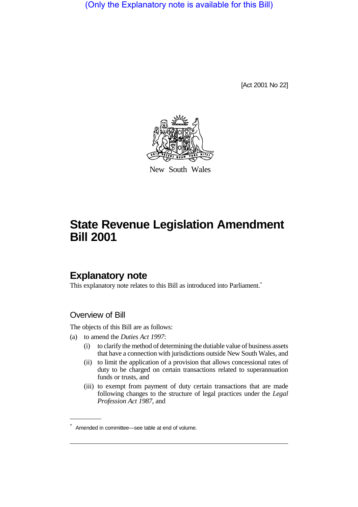(Only the Explanatory note is available for this Bill)

[Act 2001 No 22]



New South Wales

# **State Revenue Legislation Amendment Bill 2001**

# **Explanatory note**

This explanatory note relates to this Bill as introduced into Parliament.<sup>\*</sup>

### Overview of Bill

The objects of this Bill are as follows:

- (a) to amend the *Duties Act 1997*:
	- (i) to clarify the method of determining the dutiable value of business assets that have a connection with jurisdictions outside New South Wales, and
	- (ii) to limit the application of a provision that allows concessional rates of duty to be charged on certain transactions related to superannuation funds or trusts, and
	- (iii) to exempt from payment of duty certain transactions that are made following changes to the structure of legal practices under the *Legal Profession Act 1987*, and

<sup>\*</sup> Amended in committee—see table at end of volume.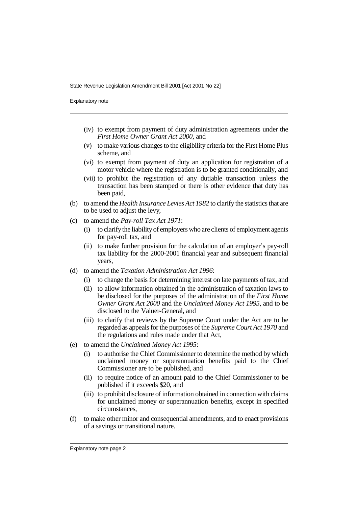Explanatory note

- (iv) to exempt from payment of duty administration agreements under the *First Home Owner Grant Act 2000*, and
- (v) to make various changes to the eligibility criteria for the First Home Plus scheme, and
- (vi) to exempt from payment of duty an application for registration of a motor vehicle where the registration is to be granted conditionally, and
- (vii) to prohibit the registration of any dutiable transaction unless the transaction has been stamped or there is other evidence that duty has been paid,
- (b) to amend the *Health Insurance Levies Act 1982* to clarify the statistics that are to be used to adjust the levy,
- (c) to amend the *Pay-roll Tax Act 1971*:
	- (i) to clarify the liability of employers who are clients of employment agents for pay-roll tax, and
	- (ii) to make further provision for the calculation of an employer's pay-roll tax liability for the 2000-2001 financial year and subsequent financial years,
- (d) to amend the *Taxation Administration Act 1996*:
	- (i) to change the basis for determining interest on late payments of tax, and
	- (ii) to allow information obtained in the administration of taxation laws to be disclosed for the purposes of the administration of the *First Home Owner Grant Act 2000* and the *Unclaimed Money Act 1995*, and to be disclosed to the Valuer-General, and
	- (iii) to clarify that reviews by the Supreme Court under the Act are to be regarded as appeals for the purposes of the *Supreme Court Act 1970* and the regulations and rules made under that Act,
- (e) to amend the *Unclaimed Money Act 1995*:
	- (i) to authorise the Chief Commissioner to determine the method by which unclaimed money or superannuation benefits paid to the Chief Commissioner are to be published, and
	- (ii) to require notice of an amount paid to the Chief Commissioner to be published if it exceeds \$20, and
	- (iii) to prohibit disclosure of information obtained in connection with claims for unclaimed money or superannuation benefits, except in specified circumstances,
- (f) to make other minor and consequential amendments, and to enact provisions of a savings or transitional nature.

Explanatory note page 2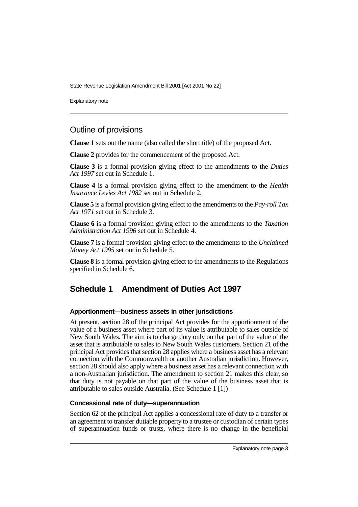Explanatory note

### Outline of provisions

**Clause 1** sets out the name (also called the short title) of the proposed Act.

**Clause 2** provides for the commencement of the proposed Act.

**Clause 3** is a formal provision giving effect to the amendments to the *Duties Act 1997* set out in Schedule 1.

**Clause 4** is a formal provision giving effect to the amendment to the *Health Insurance Levies Act 1982* set out in Schedule 2.

**Clause 5** is a formal provision giving effect to the amendments to the *Pay-roll Tax Act 1971* set out in Schedule 3.

**Clause 6** is a formal provision giving effect to the amendments to the *Taxation Administration Act 1996* set out in Schedule 4.

**Clause 7** is a formal provision giving effect to the amendments to the *Unclaimed Money Act 1995* set out in Schedule 5.

**Clause 8** is a formal provision giving effect to the amendments to the Regulations specified in Schedule 6.

## **Schedule 1 Amendment of Duties Act 1997**

#### **Apportionment—business assets in other jurisdictions**

At present, section 28 of the principal Act provides for the apportionment of the value of a business asset where part of its value is attributable to sales outside of New South Wales. The aim is to charge duty only on that part of the value of the asset that is attributable to sales to New South Wales customers. Section 21 of the principal Act provides that section 28 applies where a business asset has a relevant connection with the Commonwealth or another Australian jurisdiction. However, section 28 should also apply where a business asset has a relevant connection with a non-Australian jurisdiction. The amendment to section 21 makes this clear, so that duty is not payable on that part of the value of the business asset that is attributable to sales outside Australia. (See Schedule 1 [1])

#### **Concessional rate of duty—superannuation**

Section 62 of the principal Act applies a concessional rate of duty to a transfer or an agreement to transfer dutiable property to a trustee or custodian of certain types of superannuation funds or trusts, where there is no change in the beneficial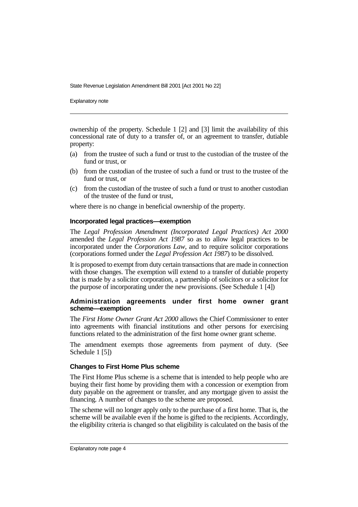Explanatory note

ownership of the property. Schedule 1 [2] and [3] limit the availability of this concessional rate of duty to a transfer of, or an agreement to transfer, dutiable property:

- (a) from the trustee of such a fund or trust to the custodian of the trustee of the fund or trust, or
- (b) from the custodian of the trustee of such a fund or trust to the trustee of the fund or trust, or
- (c) from the custodian of the trustee of such a fund or trust to another custodian of the trustee of the fund or trust,

where there is no change in beneficial ownership of the property.

#### **Incorporated legal practices—exemption**

The *Legal Profession Amendment (Incorporated Legal Practices) Act 2000* amended the *Legal Profession Act 1987* so as to allow legal practices to be incorporated under the *Corporations Law*, and to require solicitor corporations (corporations formed under the *Legal Profession Act 1987*) to be dissolved.

It is proposed to exempt from duty certain transactions that are made in connection with those changes. The exemption will extend to a transfer of dutiable property that is made by a solicitor corporation, a partnership of solicitors or a solicitor for the purpose of incorporating under the new provisions. (See Schedule 1 [4])

#### **Administration agreements under first home owner grant scheme—exemption**

The *First Home Owner Grant Act 2000* allows the Chief Commissioner to enter into agreements with financial institutions and other persons for exercising functions related to the administration of the first home owner grant scheme.

The amendment exempts those agreements from payment of duty. (See Schedule 1 [5])

#### **Changes to First Home Plus scheme**

The First Home Plus scheme is a scheme that is intended to help people who are buying their first home by providing them with a concession or exemption from duty payable on the agreement or transfer, and any mortgage given to assist the financing. A number of changes to the scheme are proposed.

The scheme will no longer apply only to the purchase of a first home. That is, the scheme will be available even if the home is gifted to the recipients. Accordingly, the eligibility criteria is changed so that eligibility is calculated on the basis of the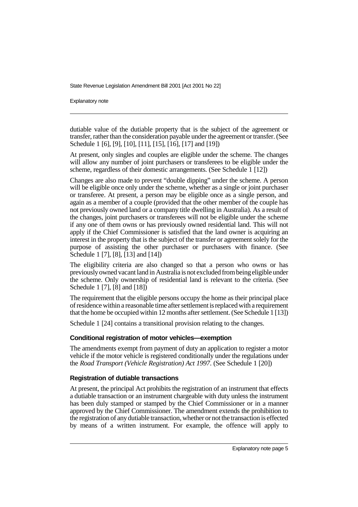Explanatory note

dutiable value of the dutiable property that is the subject of the agreement or transfer, rather than the consideration payable under the agreement or transfer. (See Schedule 1 [6], [9], [10], [11], [15], [16], [17] and [19])

At present, only singles and couples are eligible under the scheme. The changes will allow any number of joint purchasers or transferees to be eligible under the scheme, regardless of their domestic arrangements. (See Schedule 1 [12])

Changes are also made to prevent "double dipping" under the scheme. A person will be eligible once only under the scheme, whether as a single or joint purchaser or transferee. At present, a person may be eligible once as a single person, and again as a member of a couple (provided that the other member of the couple has not previously owned land or a company title dwelling in Australia). As a result of the changes, joint purchasers or transferees will not be eligible under the scheme if any one of them owns or has previously owned residential land. This will not apply if the Chief Commissioner is satisfied that the land owner is acquiring an interest in the property that is the subject of the transfer or agreement solely for the purpose of assisting the other purchaser or purchasers with finance. (See Schedule 1 [7], [8], [13] and [14])

The eligibility criteria are also changed so that a person who owns or has previously owned vacant land in Australia is not excluded from being eligible under the scheme. Only ownership of residential land is relevant to the criteria. (See Schedule 1 [7], [8] and [18]

The requirement that the eligible persons occupy the home as their principal place of residence within a reasonable time after settlement is replaced with a requirement that the home be occupied within 12 months after settlement. (See Schedule 1 [13])

Schedule 1 [24] contains a transitional provision relating to the changes.

### **Conditional registration of motor vehicles—exemption**

The amendments exempt from payment of duty an application to register a motor vehicle if the motor vehicle is registered conditionally under the regulations under the *Road Transport (Vehicle Registration) Act 1997*. (See Schedule 1 [20])

### **Registration of dutiable transactions**

At present, the principal Act prohibits the registration of an instrument that effects a dutiable transaction or an instrument chargeable with duty unless the instrument has been duly stamped or stamped by the Chief Commissioner or in a manner approved by the Chief Commissioner. The amendment extends the prohibition to the registration of any dutiable transaction, whether or not the transaction is effected by means of a written instrument. For example, the offence will apply to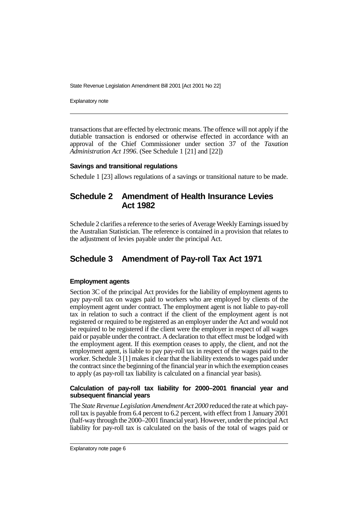Explanatory note

transactions that are effected by electronic means. The offence will not apply if the dutiable transaction is endorsed or otherwise effected in accordance with an approval of the Chief Commissioner under section 37 of the *Taxation Administration Act 1996*. (See Schedule 1 [21] and [22])

#### **Savings and transitional regulations**

Schedule 1 [23] allows regulations of a savings or transitional nature to be made.

### **Schedule 2 Amendment of Health Insurance Levies Act 1982**

Schedule 2 clarifies a reference to the series of Average Weekly Earnings issued by the Australian Statistician. The reference is contained in a provision that relates to the adjustment of levies payable under the principal Act.

## **Schedule 3 Amendment of Pay-roll Tax Act 1971**

#### **Employment agents**

Section 3C of the principal Act provides for the liability of employment agents to pay pay-roll tax on wages paid to workers who are employed by clients of the employment agent under contract. The employment agent is not liable to pay-roll tax in relation to such a contract if the client of the employment agent is not registered or required to be registered as an employer under the Act and would not be required to be registered if the client were the employer in respect of all wages paid or payable under the contract. A declaration to that effect must be lodged with the employment agent. If this exemption ceases to apply, the client, and not the employment agent, is liable to pay pay-roll tax in respect of the wages paid to the worker. Schedule 3 [1] makes it clear that the liability extends to wages paid under the contract since the beginning of the financial year in which the exemption ceases to apply (as pay-roll tax liability is calculated on a financial year basis).

#### **Calculation of pay-roll tax liability for 2000–2001 financial year and subsequent financial years**

The *State Revenue Legislation Amendment Act 2000* reduced the rate at which payroll tax is payable from 6.4 percent to 6.2 percent, with effect from 1 January 2001 (half-way through the 2000–2001 financial year). However, under the principal Act liability for pay-roll tax is calculated on the basis of the total of wages paid or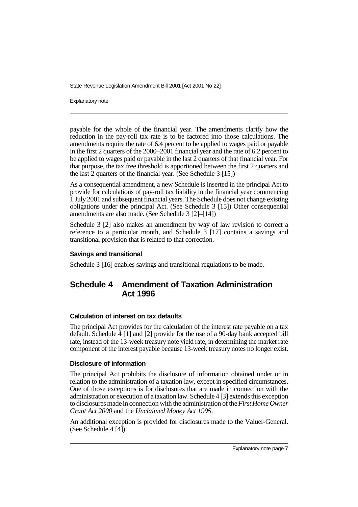Explanatory note

payable for the whole of the financial year. The amendments clarify how the reduction in the pay-roll tax rate is to be factored into those calculations. The amendments require the rate of 6.4 percent to be applied to wages paid or payable in the first 2 quarters of the 2000–2001 financial year and the rate of 6.2 percent to be applied to wages paid or payable in the last 2 quarters of that financial year. For that purpose, the tax free threshold is apportioned between the first 2 quarters and the last 2 quarters of the financial year. (See Schedule 3 [15])

As a consequential amendment, a new Schedule is inserted in the principal Act to provide for calculations of pay-roll tax liability in the financial year commencing 1 July 2001 and subsequent financial years. The Schedule does not change existing obligations under the principal Act. (See Schedule 3 [15]) Other consequential amendments are also made. (See Schedule 3 [2]–[14])

Schedule 3 [2] also makes an amendment by way of law revision to correct a reference to a particular month, and Schedule 3 [17] contains a savings and transitional provision that is related to that correction.

### **Savings and transitional**

Schedule 3 [16] enables savings and transitional regulations to be made.

# **Schedule 4 Amendment of Taxation Administration Act 1996**

### **Calculation of interest on tax defaults**

The principal Act provides for the calculation of the interest rate payable on a tax default. Schedule 4 [1] and [2] provide for the use of a 90-day bank accepted bill rate, instead of the 13-week treasury note yield rate, in determining the market rate component of the interest payable because 13-week treasury notes no longer exist.

### **Disclosure of information**

The principal Act prohibits the disclosure of information obtained under or in relation to the administration of a taxation law, except in specified circumstances. One of those exceptions is for disclosures that are made in connection with the administration or execution of a taxation law. Schedule 4 [3] extends this exception to disclosures made in connection with the administration of the *First Home Owner Grant Act 2000* and the *Unclaimed Money Act 1995*.

An additional exception is provided for disclosures made to the Valuer-General. (See Schedule 4 [4])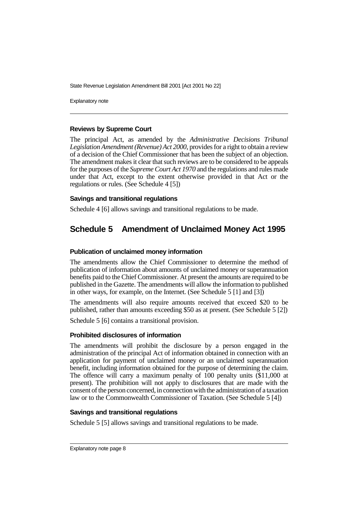Explanatory note

#### **Reviews by Supreme Court**

The principal Act, as amended by the *Administrative Decisions Tribunal Legislation Amendment (Revenue) Act 2000*, provides for a right to obtain a review of a decision of the Chief Commissioner that has been the subject of an objection. The amendment makes it clear that such reviews are to be considered to be appeals for the purposes of the *Supreme Court Act 1970* and the regulations and rules made under that Act, except to the extent otherwise provided in that Act or the regulations or rules. (See Schedule 4 [5])

#### **Savings and transitional regulations**

Schedule 4 [6] allows savings and transitional regulations to be made.

# **Schedule 5 Amendment of Unclaimed Money Act 1995**

#### **Publication of unclaimed money information**

The amendments allow the Chief Commissioner to determine the method of publication of information about amounts of unclaimed money or superannuation benefits paid to the Chief Commissioner. At present the amounts are required to be published in the Gazette. The amendments will allow the information to published in other ways, for example, on the Internet. (See Schedule 5  $[1]$  and  $[3]$ )

The amendments will also require amounts received that exceed \$20 to be published, rather than amounts exceeding \$50 as at present. (See Schedule 5 [2])

Schedule 5 [6] contains a transitional provision.

#### **Prohibited disclosures of information**

The amendments will prohibit the disclosure by a person engaged in the administration of the principal Act of information obtained in connection with an application for payment of unclaimed money or an unclaimed superannuation benefit, including information obtained for the purpose of determining the claim. The offence will carry a maximum penalty of 100 penalty units (\$11,000 at present). The prohibition will not apply to disclosures that are made with the consent of the person concerned, in connection with the administration of a taxation law or to the Commonwealth Commissioner of Taxation. (See Schedule 5 [4])

#### **Savings and transitional regulations**

Schedule 5 [5] allows savings and transitional regulations to be made.